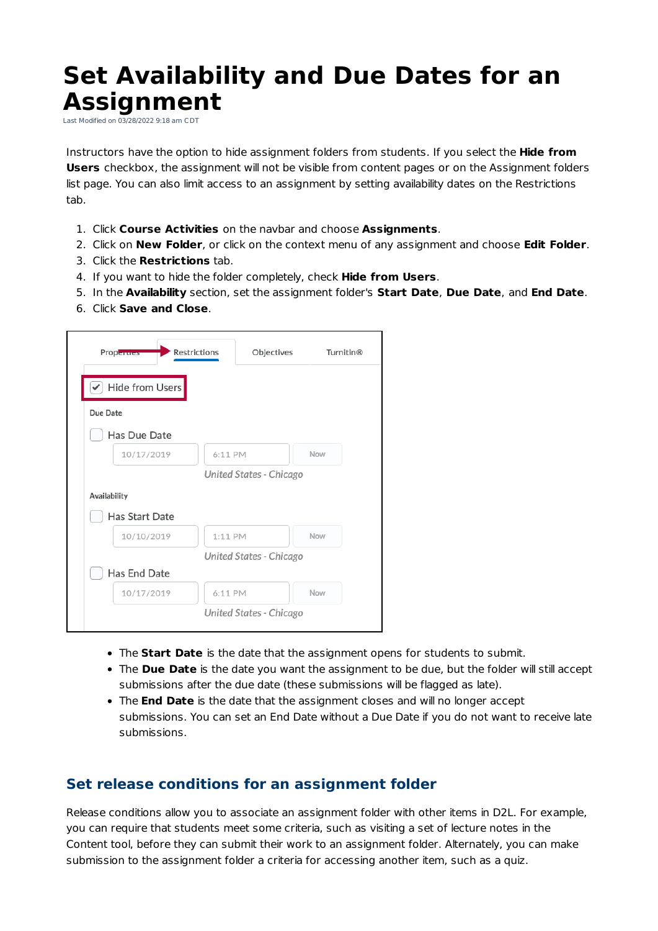## **Set Availability and Due Dates for an Assignment**

Last Modified on 03/28/2022 9:18 am CDT

Instructors have the option to hide assignment folders from students. If you select the **Hide from Users** checkbox, the assignment will not be visible from content pages or on the Assignment folders list page. You can also limit access to an assignment by setting availability dates on the Restrictions tab.

- 1. Click **Course Activities** on the navbar and choose **Assignments**.
- 2. Click on **New Folder**, or click on the context menu of any assignment and choose **Edit Folder**.
- 3. Click the **Restrictions** tab.
- 4. If you want to hide the folder completely, check **Hide from Users**.
- 5. In the **Availability** section, set the assignment folder's **Start Date**, **Due Date**, and **End Date**.
- 6. Click **Save and Close**.

| <b>Properties</b> | Restrictions | Objectives              | <b>Turnitin®</b> |
|-------------------|--------------|-------------------------|------------------|
| Hide from Users   |              |                         |                  |
| Due Date          |              |                         |                  |
| Has Due Date      |              |                         |                  |
| 10/17/2019        | 6:11 PM      |                         | Now              |
|                   |              | United States - Chicago |                  |
| Availability      |              |                         |                  |
| Has Start Date    |              |                         |                  |
| 10/10/2019        | 1:11 PM      |                         | Now              |
|                   |              | United States - Chicago |                  |
| Has End Date      |              |                         |                  |
| 10/17/2019        | 6:11 PM      |                         | Now              |
|                   |              | United States - Chicago |                  |

- The **Start Date** is the date that the assignment opens for students to submit.
- The **Due Date** is the date you want the assignment to be due, but the folder will still accept submissions after the due date (these submissions will be flagged as late).
- The **End Date** is the date that the assignment closes and will no longer accept submissions. You can set an End Date without a Due Date if you do not want to receive late submissions.

## **Set release conditions for an assignment folder**

Release conditions allow you to associate an assignment folder with other items in D2L. For example, you can require that students meet some criteria, such as visiting a set of lecture notes in the Content tool, before they can submit their work to an assignment folder. Alternately, you can make submission to the assignment folder a criteria for accessing another item, such as a quiz.